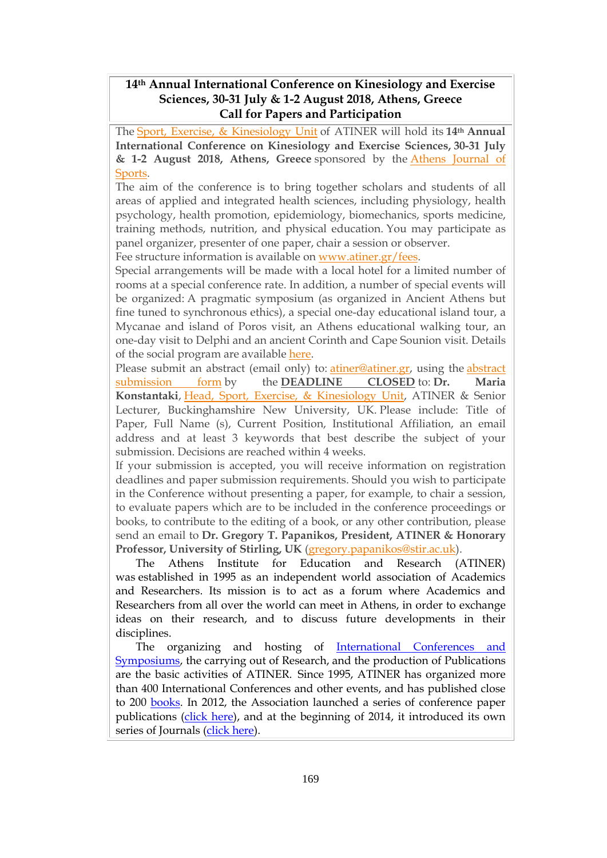### **14th Annual International Conference on Kinesiology and Exercise Sciences, 30-31 July & 1-2 August 2018, Athens, Greece Call for Papers and Participation**

The Sport, Exercise, & [Kinesiology](http://www.atiner.gr/SPORTS-UNIT) Unit of ATINER will hold its **14th Annual International Conference on Kinesiology and Exercise Sciences, 30-31 July & 1-2 August 2018, Athens, Greece** sponsored by the Athens [Journal](http://www.athensjournals.gr/ajspo) of [Sports.](http://www.athensjournals.gr/ajspo)

The aim of the conference is to bring together scholars and students of all areas of applied and integrated health sciences, including physiology, health psychology, health promotion, epidemiology, biomechanics, sports medicine, training methods, nutrition, and physical education. You may participate as panel organizer, presenter of one paper, chair a session or observer.

Fee structure information is available on [www.atiner.gr/fees.](https://www.atiner.gr/2018fees)

Special arrangements will be made with a local hotel for a limited number of rooms at a special conference rate. In addition, a number of special events will be organized: A pragmatic symposium (as organized in Ancient Athens but fine tuned to synchronous ethics), a special one-day educational island tour, a Mycanae and island of Poros visit, an Athens educational walking tour, an one-day visit to Delphi and an ancient Corinth and Cape Sounion visit. Details of the social program are available [here.](http://www.atiner.gr/social-program)

Please submit an [abstract](https://www.atiner.gr/2018/FORM-FIT.doc) (email only) to: *atiner@atiner.gr*, using the *abstract* [submission](https://www.atiner.gr/2018/FORM-FIT.doc) form by the **DEADLINE CLOSED** to: **Dr. Maria Konstantaki**, Head, Sport, Exercise, & [Kinesiology](https://www.atiner.gr/sports-unit) Unit, ATINER & Senior Lecturer, Buckinghamshire New University, UK. Please include: Title of Paper, Full Name (s), Current Position, Institutional Affiliation, an email address and at least 3 keywords that best describe the subject of your submission. Decisions are reached within 4 weeks.

If your submission is accepted, you will receive information on registration deadlines and paper submission requirements. Should you wish to participate in the Conference without presenting a paper, for example, to chair a session, to evaluate papers which are to be included in the conference proceedings or books, to contribute to the editing of a book, or any other contribution, please send an email to **Dr. Gregory T. Papanikos, President, ATINER & Honorary Professor, University of Stirling, UK** [\(gregory.papanikos@stir.ac.uk\)](mailto:gregory.papanikos@stir.ac.uk).

The Athens Institute for Education and Research (ATINER) was established in 1995 as an independent world association of Academics and Researchers. Its mission is to act as a forum where Academics and Researchers from all over the world can meet in Athens, in order to exchange ideas on their research, and to discuss future developments in their disciplines.

The organizing and hosting of [International Conferences and](http://www.atiner.gr/Conferences.htm)  **Symposiums**, the carrying out of Research, and the production of Publications are the basic activities of ATINER. Since 1995, ATINER has organized more than 400 International Conferences and other events, and has published close to 200 [books.](http://www.atiner.gr/Publications.htm) In 2012, the Association launched a series of conference paper publications [\(click here\)](http://www.atiner.gr/papers.htm), and at the beginning of 2014, it introduced its own series of Journals [\(click here\)](http://www.athensjournals.gr/).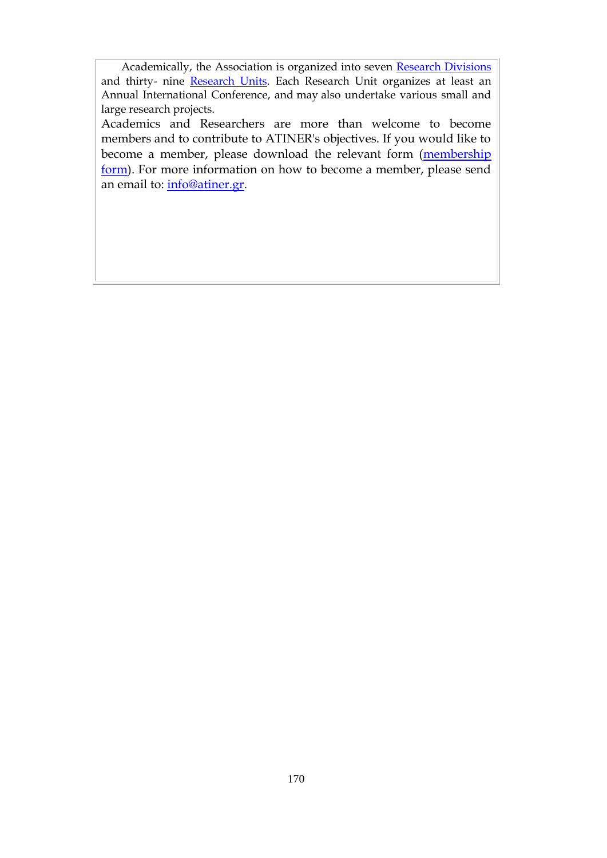Academically, the Association is organized into seven [Research Divisions](http://www.atiner.gr/RESEARCH-DIVISIONS.htm) and thirty- nine [Research Units.](http://www.atiner.gr/RESEARCH-DIVISIONS.htm) Each Research Unit organizes at least an Annual International Conference, and may also undertake various small and large research projects.

Academics and Researchers are more than welcome to become members and to contribute to ATINER's objectives. If you would like to become a member, please download the relevant form (membership [form\)](http://www.atiner.gr/docs/MEMBER_FORM.doc). For more information on how to become a member, please send an email to: [info@atiner.gr.](mailto:info@atiner.gr)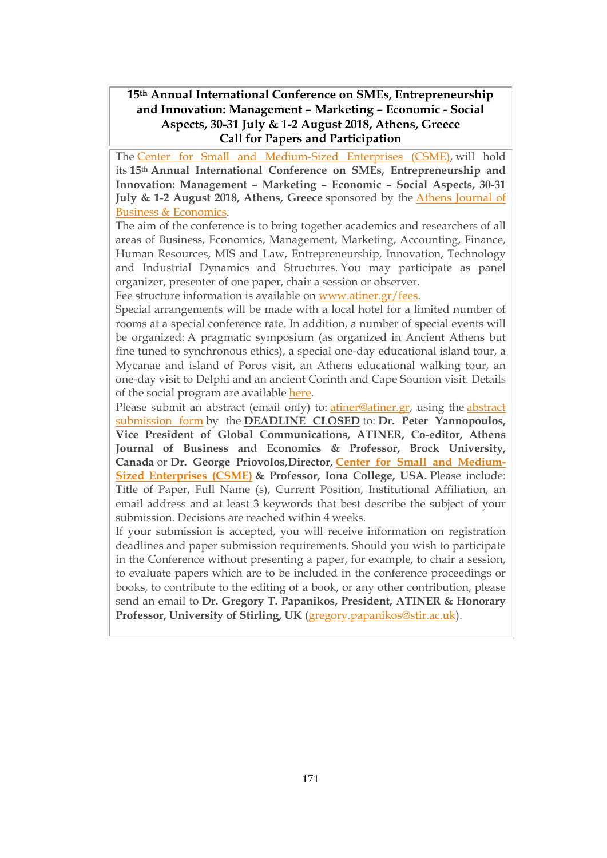#### **15th Annual International Conference on SΜΕs, Entrepreneurship and Innovation: Management – Marketing – Economic - Social Aspects, 30-31 July & 1-2 August 2018, Athens, Greece Call for Papers and Participation**

The Center for Small and [Medium-Sized](https://www.atiner.gr/csme) Enterprises (CSME), will hold its **15th Annual International Conference on SΜΕs, Entrepreneurship and Innovation: Management – Marketing – Economic – Social Aspects, 30-31 July & 1-2 August 2018, Athens, Greece** sponsored by the Athens [Journal](http://www.athensjournals.gr/ajbe) of Business & [Economics.](http://www.athensjournals.gr/ajbe)

The aim of the conference is to bring together academics and researchers of all areas of Business, Economics, Management, Marketing, Accounting, Finance, Human Resources, MIS and Law, Entrepreneurship, Innovation, Technology and Industrial Dynamics and Structures. You may participate as panel organizer, presenter of one paper, chair a session or observer.

Fee structure information is available on [www.atiner.gr/fees.](https://www.atiner.gr/2018fees)

Special arrangements will be made with a local hotel for a limited number of rooms at a special conference rate. In addition, a number of special events will be organized: A pragmatic symposium (as organized in Ancient Athens but fine tuned to synchronous ethics), a special one-day educational island tour, a Mycanae and island of Poros visit, an Athens educational walking tour, an one-day visit to Delphi and an ancient Corinth and Cape Sounion visit. Details of the social program are available [here.](http://www.atiner.gr/social-program)

Please submit an abstract (email only) to: [atiner@atiner.gr,](mailto:atiner@atiner.gr) using the [abstract](https://www.atiner.gr/2018/FORM-SME.doc) [submission](https://www.atiner.gr/2018/FORM-SME.doc) form by the **DEADLINE CLOSED** to: **Dr. Peter Yannopoulos, Vice President of Global Communications, ATINER, Co-editor, Athens Journal of Business and Economics & Professor, Brock University, Canada** or **Dr. George Priovolos**,**Director, Center for Small and [Medium-](https://www.atiner.gr/csme)Sized [Enterprises](https://www.atiner.gr/csme) (CSME) & Professor, Iona College, USA.** Please include: Title of Paper, Full Name (s), Current Position, Institutional Affiliation, an email address and at least 3 keywords that best describe the subject of your submission. Decisions are reached within 4 weeks.

If your submission is accepted, you will receive information on registration deadlines and paper submission requirements. Should you wish to participate in the Conference without presenting a paper, for example, to chair a session, to evaluate papers which are to be included in the conference proceedings or books, to contribute to the editing of a book, or any other contribution, please send an email to **Dr. Gregory T. Papanikos, President, ATINER & Honorary Professor, University of Stirling, UK** [\(gregory.papanikos@stir.ac.uk\)](mailto:gregory.papanikos@stir.ac.uk).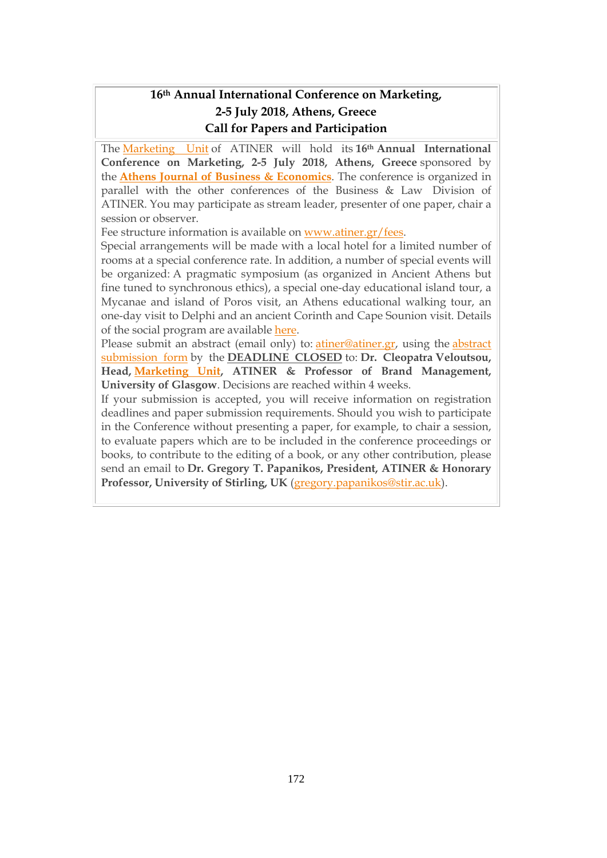### **16th Annual International Conference on Marketing, 2-5 July 2018, Athens, Greece Call for Papers and Participation**

The [Marketing](http://www.atiner.gr/docs/MARKETING_UNIT.htm) Unit of ATINER will hold its **16th Annual International Conference on Marketing, 2-5 July 2018, Athens, Greece** sponsored by the **Athens Journal of Business & [Economics](http://www.athensjournals.gr/ajbe)**. The conference is organized in parallel with the other conferences of the Business & Law Division of ATINER. You may participate as stream leader, presenter of one paper, chair a session or observer.

Fee structure information is available on [www.atiner.gr/fees.](http://atiner.gr/2018fees)

Special arrangements will be made with a local hotel for a limited number of rooms at a special conference rate. In addition, a number of special events will be organized: A pragmatic symposium (as organized in Ancient Athens but fine tuned to synchronous ethics), a special one-day educational island tour, a Mycanae and island of Poros visit, an Athens educational walking tour, an one-day visit to Delphi and an ancient Corinth and Cape Sounion visit. Details of the social program are available [here.](http://www.atiner.gr/social-program)

Please submit an [abstract](https://www.atiner.gr/2018/FORM-MKT.doc) (email only) to: *atiner@atiner.gr*, using the *abstract* [submission](https://www.atiner.gr/2018/FORM-MKT.doc) form by the **DEADLINE CLOSED** to: **Dr. Cleopatra Veloutsou, Head, [Marketing](http://www.atiner.gr/docs/MARKETING_UNIT.htm) Unit, ATINER & Professor of Brand Management, University of Glasgow**. Decisions are reached within 4 weeks.

If your submission is accepted, you will receive information on registration deadlines and paper submission requirements. Should you wish to participate in the Conference without presenting a paper, for example, to chair a session, to evaluate papers which are to be included in the conference proceedings or books, to contribute to the editing of a book, or any other contribution, please send an email to **Dr. Gregory T. Papanikos, President, ATINER & Honorary Professor, University of Stirling, UK** [\(gregory.papanikos@stir.ac.uk\)](mailto:gregory.papanikos@stir.ac.uk).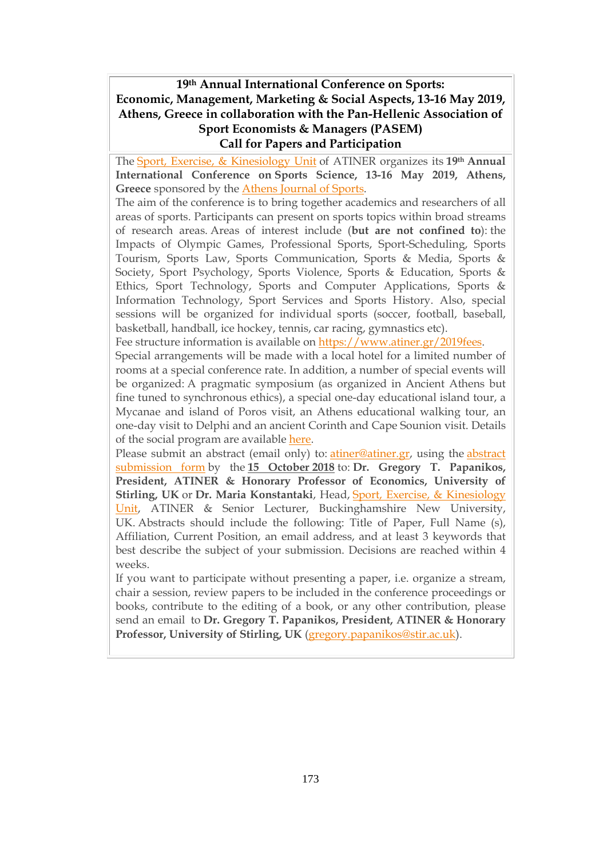### **19th Annual International Conference on Sports: Economic, Management, Marketing & Social Aspects, 13-16 May 2019, Athens, Greece in collaboration with the Pan-Hellenic Association of Sport Economists & Managers (PASEM) Call for Papers and Participation**

The Sport, Exercise, & [Kinesiology](http://www.atiner.gr/sports-unit) Unit of ATINER organizes its **19th Annual International Conference on Sports Science, 13-16 May 2019, Athens,** Greece sponsored by the **Athens [Journal](http://www.athensjournals.gr/ajspo) of Sports**.

The aim of the conference is to bring together academics and researchers of all areas of sports. Participants can present on sports topics within broad streams of research areas. Areas of interest include (**but are not confined to**): the Impacts of Olympic Games, Professional Sports, Sport-Scheduling, Sports Tourism, Sports Law, Sports Communication, Sports & Media, Sports & Society, Sport Psychology, Sports Violence, Sports & Education, Sports & Ethics, Sport Technology, Sports and Computer Applications, Sports & Information Technology, Sport Services and Sports History. Also, special sessions will be organized for individual sports (soccer, football, baseball, basketball, handball, ice hockey, tennis, car racing, gymnastics etc).

Fee structure information is available on [https://www.atiner.gr/2019fees.](https://www.atiner.gr/2019fees)

Special arrangements will be made with a local hotel for a limited number of rooms at a special conference rate. In addition, a number of special events will be organized: A pragmatic symposium (as organized in Ancient Athens but fine tuned to synchronous ethics), a special one-day educational island tour, a Mycanae and island of Poros visit, an Athens educational walking tour, an one-day visit to Delphi and an ancient Corinth and Cape Sounion visit. Details of the social program are available [here.](http://www.atiner.gr/social-program)

Please submit an abstract (email only) to: [atiner@atiner.gr,](mailto:atiner@atiner.gr) using the [abstract](https://www.atiner.gr/2019/FORM-SPO.doc) [submission](https://www.atiner.gr/2019/FORM-SPO.doc) form by the **15 October 2018** to: **Dr. Gregory T. Papanikos, President, ATINER & Honorary Professor of Economics, University of Stirling, UK** or **Dr. Maria Konstantaki**, Head, Sport, Exercise, & [Kinesiology](https://www.atiner.gr/sports-unit) [Unit,](https://www.atiner.gr/sports-unit) ATINER & Senior Lecturer, Buckinghamshire New University, UK. Abstracts should include the following: Title of Paper, Full Name (s), Affiliation, Current Position, an email address, and at least 3 keywords that best describe the subject of your submission. Decisions are reached within 4 weeks.

If you want to participate without presenting a paper, i.e. organize a stream, chair a session, review papers to be included in the conference proceedings or books, contribute to the editing of a book, or any other contribution, please send an email to **Dr. Gregory T. Papanikos, President, ATINER & Honorary Professor, University of Stirling, UK** [\(gregory.papanikos@stir.ac.uk\)](mailto:gregory.papanikos@stir.ac.uk).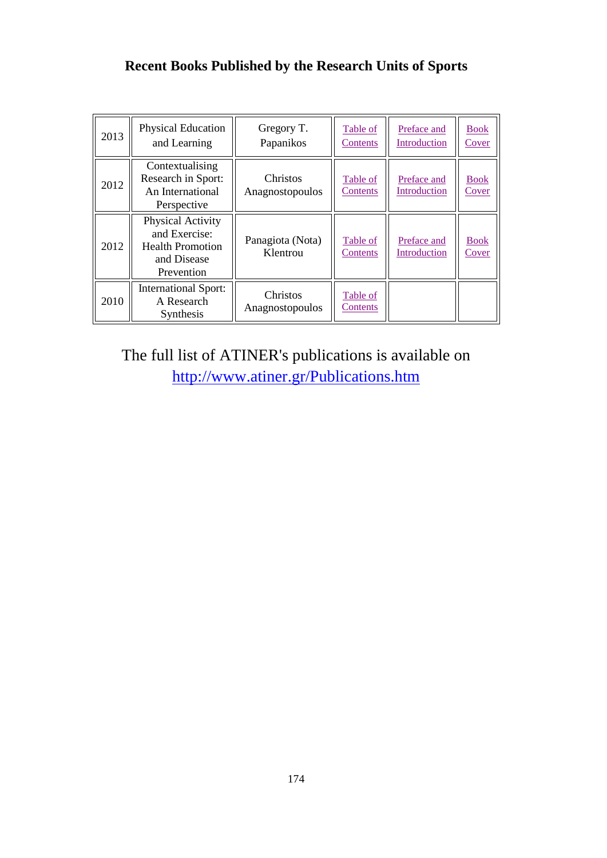# **Recent Books Published by the Research Units of Sports**

| 2013 | <b>Physical Education</b><br>and Learning                                                  | Gregory T.<br>Papanikos      | Table of<br>Contents | Preface and<br>Introduction | <b>Book</b><br>Cover        |
|------|--------------------------------------------------------------------------------------------|------------------------------|----------------------|-----------------------------|-----------------------------|
| 2012 | Contextualising<br>Research in Sport:<br>An International<br>Perspective                   | Christos<br>Anagnostopoulos  | Table of<br>Contents | Preface and<br>Introduction | <b>Book</b><br>Cover        |
| 2012 | Physical Activity<br>and Exercise:<br><b>Health Promotion</b><br>and Disease<br>Prevention | Panagiota (Nota)<br>Klentrou | Table of<br>Contents | Preface and<br>Introduction | <b>Book</b><br><u>Cover</u> |
| 2010 | <b>International Sport:</b><br>A Research<br>Synthesis                                     | Christos<br>Anagnostopoulos  | Table of<br>Contents |                             |                             |

The full list of ATINER's publications is available on <http://www.atiner.gr/Publications.htm>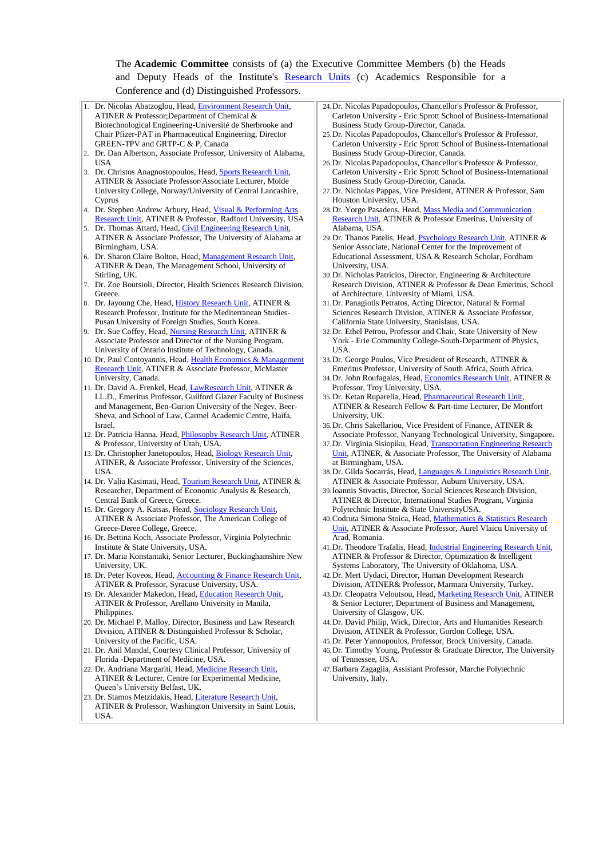#### The **Academic Committee** consists of (a) the Executive Committee Members (b) the Heads and Deputy Heads of the Institute's [Research Units](http://www.atiner.gr/RESEARCH-DIVISIONS.htm) (c) Academics Responsible for a Conference and (d) Distinguished Professors.

- 1. Dr. Nicolas Abatzoglou, Head[, Environment Research Unit,](http://www.atiner.gr/ENVIRONMENT-UNIT.htm)  ATINER & Professor;Department of Chemical & Biotechnological Engineering-Université de Sherbrooke and Chair Pfizer-PAT in Pharmaceutical Engineering, Director GREEN-TPV and GRTP-C & P, Canada
- 2. Dr. Dan Albertson, Associate Professor, University of Alabama, USA
- 3. Dr. Christos Anagnostopoulos, Head, [Sports Research Unit,](http://www.atiner.gr/SPORTS-UNIT.htm) ATINER & Associate Professor/Associate Lecturer, Molde University College, Norway/University of Central Lancashire, Cyprus
- 4. Dr. Stephen Andrew Arbury, Head, Visual & Performing Arts [Research Unit,](http://www.atiner.gr/ARTS-UNIT.htm) ATINER & Professor, Radford University, USA
- 5. Dr. Thomas Attard, Head, Civil Engineering Research Unit, ATINER & Associate Professor, The University of Alabama at Birmingham, USA.
- Dr. Sharon Claire Bolton, Head, Management Research Unit, ATINER & Dean, The Management School, University of Stirling, UK.
- 7. Dr. Zoe Boutsioli, Director, Health Sciences Research Division, Greece.
- Dr. Jayoung Che, Head, [History Research Unit,](http://www.atiner.gr/HISTORY.htm) ATINER & Research Professor, Institute for the Mediterranean Studies-Pusan University of Foreign Studies, South Korea.
- Dr. Sue Coffey, Head, [Nursing Research Unit,](http://www.atiner.gr/NURSING-UNIT.htm) ATINER & Associate Professor and Director of the Nursing Program, University of Ontario Institute of Technology, Canada.
- 10. Dr. Paul Contoyannis, Head, Health Economics & Management [Research Unit,](http://www.atiner.gr/HEALTH-UNIT.htm) ATINER & Associate Professor, McMaster University, Canada.
- 11. Dr. David A. Frenkel, Head, [LawResearch Unit,](http://www.atiner.gr/LAW-UNIT.htm) ATINER & LL.D., Emeritus Professor, Guilford Glazer Faculty of Business and Management, Ben-Gurion University of the Negev, Beer-Sheva, and School of Law, Carmel Academic Centre, Haifa, Israel.
- 12. Dr. Patricia Hanna. Head, [Philosophy Research Unit,](http://www.atiner.gr/PHILOSHOPHY-UNIT.htm) ATINER & Professor, University of Utah, USA.
- 13. Dr. Christopher Janetopoulos, Head, [Biology Research Unit,](http://www.atiner.gr/BIOLOGY-UNIT.htm) ATINER, & Associate Professor, University of the Sciences, USA.
- 14. Dr. Valia Kasimati, Head, [Tourism Research Unit,](http://www.atiner.gr/TOURISM-UNIT.htm) ATINER & Researcher, Department of Economic Analysis & Research, Central Bank of Greece, Greece.
- 15. Dr. Gregory A. Katsas, Head, [Sociology Research Unit,](http://www.atiner.gr/SOCIOLOGY-UNIT.htm)  ATINER & Associate Professor, The American College of Greece-Deree College, Greece.
- 16. Dr. Bettina Koch, Associate Professor, Virginia Polytechnic Institute & State University, USA.
- 17. Dr. Maria Konstantaki, Senior Lecturer, Buckinghamshire New University, UK.
- 18. Dr. Peter Koveos, Head, [Accounting & Finance Research Unit,](http://www.atiner.gr/ACCOUNTING-UNIT.htm)  ATINER & Professor, Syracuse University, USA.
- 19. Dr. Alexander Makedon, Head, Education Research Unit, ATINER & Professor, Arellano University in Manila, Philippines.
- 20. Dr. Michael P. Malloy, Director, Business and Law Research Division, ATINER & Distinguished Professor & Scholar, University of the Pacific, USA.
- 21. Dr. Anil Mandal, Courtesy Clinical Professor, University of Florida -Department of Medicine, USA.
- 22. Dr. Andriana Margariti, Head, [Medicine Research Unit,](http://www.atiner.gr/MEDICINE-UNIT.htm) ATINER & Lecturer, Centre for Experimental Medicine, Queen's University Belfast, UK.
- 23. Dr. Stamos Metzidakis, Head, [Literature Research Unit,](http://www.atiner.gr/LITERATURE-UNIT.htm)  ATINER & Professor, Washington University in Saint Louis, USA.
- 24.Dr. Nicolas Papadopoulos, Chancellor's Professor & Professor, Carleton University - Eric Sprott School of Business-International Business Study Group-Director, Canada.
- 25.Dr. Nicolas Papadopoulos, Chancellor's Professor & Professor, Carleton University - Eric Sprott School of Business-International Business Study Group-Director, Canada.
- 26.Dr. Nicolas Papadopoulos, Chancellor's Professor & Professor, Carleton University - Eric Sprott School of Business-International Business Study Group-Director, Canada.
- 27.Dr. Nicholas Pappas, Vice President, ATINER & Professor, Sam Houston University, USA.
- 28.Dr. Yorgo Pasadeos, Head, [Mass Media and Communication](http://www.atiner.gr/MEDIA-UNIT.htm)  [Research Unit,](http://www.atiner.gr/MEDIA-UNIT.htm) ATINER & Professor Emeritus, University of Alabama, USA.
- 29.Dr. Thanos Patelis, Head, [Psychology Research Unit,](http://www.atiner.gr/PSYCHOLOGY-UNIT.htm) ATINER & Senior Associate, National Center for the Improvement of Educational Assessment, USA & Research Scholar, Fordham University, USA.
- 30.Dr. Nicholas Patricios, Director, Engineering & Architecture Research Division, ATINER & Professor & Dean Emeritus, School of Architecture, University of Miami, USA.
- 31.Dr. Panagiotis Petratos, Acting Director, Natural & Formal Sciences Research Division, ATINER & Associate Professor, California State University, Stanislaus, USA.
- 32.Dr. Ethel Petrou, Professor and Chair, State University of New York - Erie Community College-South-Department of Physics, USA.
- 33.Dr. George Poulos, Vice President of Research, ATINER & Emeritus Professor, University of South Africa, South Africa.
- 34.Dr. John Roufagalas, Head, [Economics Research Unit,](http://www.atiner.gr/ECONOMICS-UNIT.htm) ATINER & Professor, Troy University, USA.
- 35. Dr. Ketan Ruparelia, Head, Pharmaceutical Research Unit, ATINER & Research Fellow & Part-time Lecturer, De Montfort University, UK.
- 36.Dr. Chris Sakellariou, Vice President of Finance, ATINER & Associate Professor, Nanyang Technological University, Singapore.
- 37.Dr. Virginia Sisiopiku, Head, [Transportation Engineering Research](http://www.atiner.gr/TRANSPORTATION-UNIT.htm)  [Unit,](http://www.atiner.gr/TRANSPORTATION-UNIT.htm) ATINER, & Associate Professor, The University of Alabama at Birmingham, USA.
- 38.Dr. Gilda Socarrás, Head, [Languages & Linguistics Research Unit,](http://www.atiner.gr/LANGUAGES-UNIT.htm)  ATINER & Associate Professor, Auburn University, USA.
- 39.Ioannis Stivactis, Director, Social Sciences Research Division, ATINER & Director, International Studies Program, Virginia Polytechnic Institute & State UniversityUSA.
- 40.Codruta Simona Stoica, Head, [Mathematics & Statistics Research](http://www.atiner.gr/MATHEMATICS-UNIT.htm)  [Unit,](http://www.atiner.gr/MATHEMATICS-UNIT.htm) ATINER & Associate Professor, Aurel Vlaicu University of Arad, Romania.
- 41.Dr. Theodore Trafalis, Head, [Industrial Engineering Research Unit,](http://www.atiner.gr/INDUSTRIAL-UNIT.htm) ATINER & Professor & Director, Optimization & Intelligent Systems Laboratory, The University of Oklahoma, USA.
- 42.Dr. Mert Uydaci, Director, Human Development Research Division, ATINER& Professor, Marmara University, Turkey.
- 43.Dr. Cleopatra Veloutsou, Head, [Marketing Research Unit,](http://www.atiner.gr/MARKETING-UNIT.htm) ATINER & Senior Lecturer, Department of Business and Management, University of Glasgow, UK.
- 44.Dr. David Philip, Wick, Director, Arts and Humanities Research Division, ATINER & Professor, Gordon College, USA.
- 45.Dr. Peter Yannopoulos, Professor, Brock University, Canada. 46.Dr. Timothy Young, Professor & Graduate Director, The University
- of Tennessee, USA. 47.Barbara Zagaglia, Assistant Professor, Marche Polytechnic University, Italy.